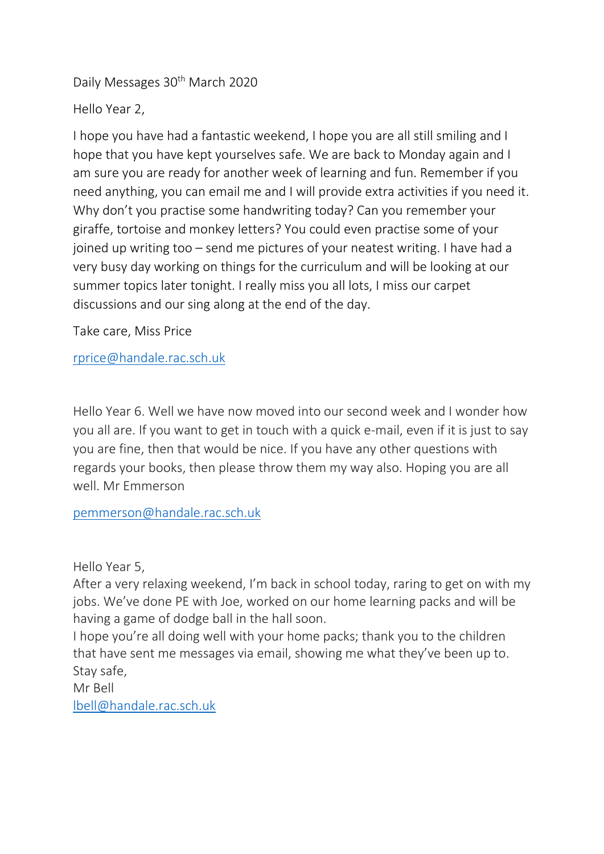Daily Messages 30<sup>th</sup> March 2020

Hello Year 2,

I hope you have had a fantastic weekend, I hope you are all still smiling and I hope that you have kept yourselves safe. We are back to Monday again and I am sure you are ready for another week of learning and fun. Remember if you need anything, you can email me and I will provide extra activities if you need it. Why don't you practise some handwriting today? Can you remember your giraffe, tortoise and monkey letters? You could even practise some of your joined up writing too – send me pictures of your neatest writing. I have had a very busy day working on things for the curriculum and will be looking at our summer topics later tonight. I really miss you all lots, I miss our carpet discussions and our sing along at the end of the day.

Take care, Miss Price

[rprice@handale.rac.sch.uk](mailto:rprice@handale.rac.sch.uk)

Hello Year 6. Well we have now moved into our second week and I wonder how you all are. If you want to get in touch with a quick e-mail, even if it is just to say you are fine, then that would be nice. If you have any other questions with regards your books, then please throw them my way also. Hoping you are all well. Mr Emmerson

[pemmerson@handale.rac.sch.uk](mailto:pemmerson@handale.rac.sch.uk)

Hello Year 5,

After a very relaxing weekend, I'm back in school today, raring to get on with my jobs. We've done PE with Joe, worked on our home learning packs and will be having a game of dodge ball in the hall soon.

I hope you're all doing well with your home packs; thank you to the children that have sent me messages via email, showing me what they've been up to. Stay safe,

Mr Bell [lbell@handale.rac.sch.uk](mailto:lbell@handale.rac.sch.uk)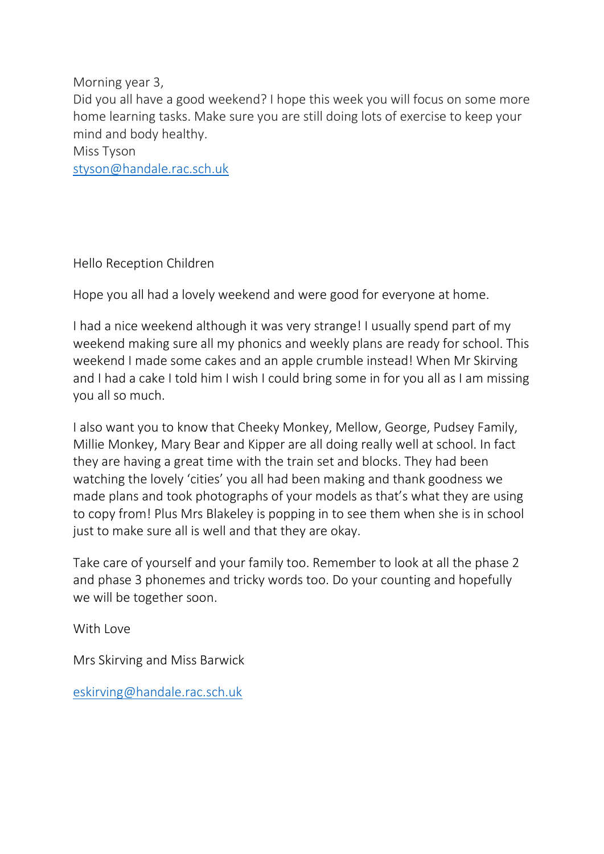Morning year 3,

Did you all have a good weekend? I hope this week you will focus on some more home learning tasks. Make sure you are still doing lots of exercise to keep your mind and body healthy.

Miss Tyson

[styson@handale.rac.sch.uk](mailto:styson@handale.rac.sch.uk)

Hello Reception Children

Hope you all had a lovely weekend and were good for everyone at home.

I had a nice weekend although it was very strange! I usually spend part of my weekend making sure all my phonics and weekly plans are ready for school. This weekend I made some cakes and an apple crumble instead! When Mr Skirving and I had a cake I told him I wish I could bring some in for you all as I am missing you all so much.

I also want you to know that Cheeky Monkey, Mellow, George, Pudsey Family, Millie Monkey, Mary Bear and Kipper are all doing really well at school. In fact they are having a great time with the train set and blocks. They had been watching the lovely 'cities' you all had been making and thank goodness we made plans and took photographs of your models as that's what they are using to copy from! Plus Mrs Blakeley is popping in to see them when she is in school just to make sure all is well and that they are okay.

Take care of yourself and your family too. Remember to look at all the phase 2 and phase 3 phonemes and tricky words too. Do your counting and hopefully we will be together soon.

With Love

Mrs Skirving and Miss Barwick

[eskirving@handale.rac.sch.uk](mailto:eskirving@handale.rac.sch.uk)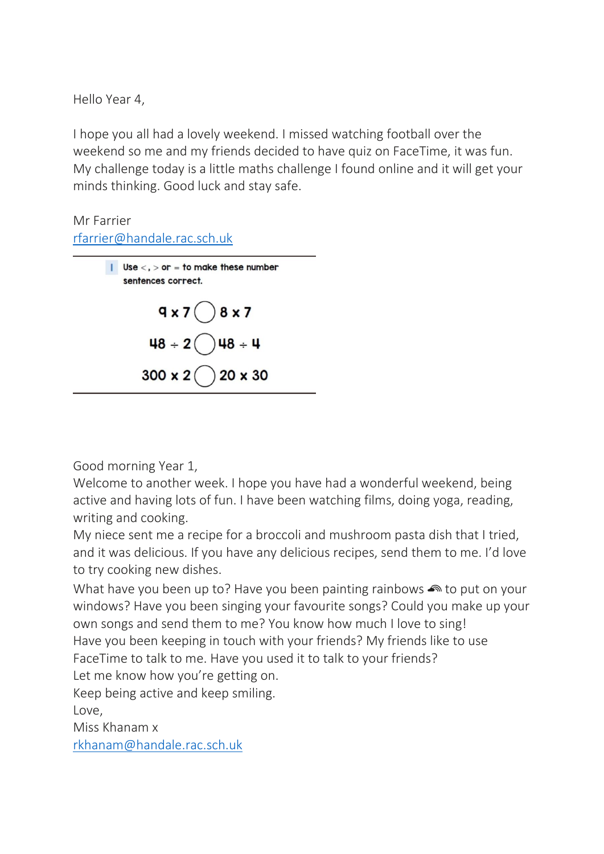Hello Year 4,

I hope you all had a lovely weekend. I missed watching football over the weekend so me and my friends decided to have quiz on FaceTime, it was fun. My challenge today is a little maths challenge I found online and it will get your minds thinking. Good luck and stay safe.

## Mr Farrier [rfarrier@handale.rac.sch.uk](mailto:rfarrier@handale.rac.sch.uk)



Good morning Year 1,

Welcome to another week. I hope you have had a wonderful weekend, being active and having lots of fun. I have been watching films, doing yoga, reading, writing and cooking.

My niece sent me a recipe for a broccoli and mushroom pasta dish that I tried, and it was delicious. If you have any delicious recipes, send them to me. I'd love to try cooking new dishes.

What have you been up to? Have you been painting rainbows  $\bullet$  to put on your windows? Have you been singing your favourite songs? Could you make up your own songs and send them to me? You know how much I love to sing! Have you been keeping in touch with your friends? My friends like to use FaceTime to talk to me. Have you used it to talk to your friends? Let me know how you're getting on.

Keep being active and keep smiling.

Love,

Miss Khanam x [rkhanam@handale.rac.sch.uk](mailto:rkhanam@handale.rac.sch.uk)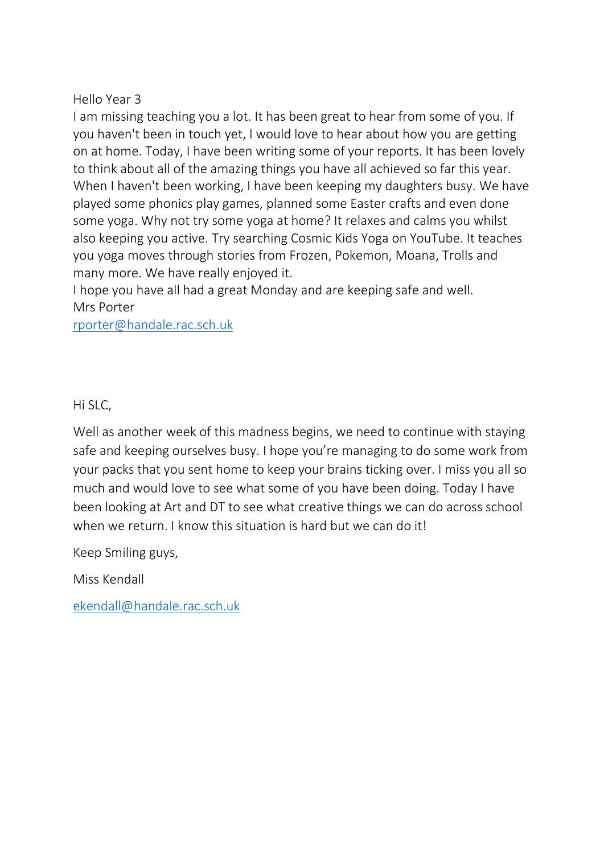## Hello Year 3

I am missing teaching you a lot. It has been great to hear from some of you. If you haven't been in touch yet, I would love to hear about how you are getting on at home. Today, I have been writing some of your reports. It has been lovely to think about all of the amazing things you have all achieved so far this year. When I haven't been working, I have been keeping my daughters busy. We have played some phonics play games, planned some Easter crafts and even done some yoga. Why not try some yoga at home? It relaxes and calms you whilst also keeping you active. Try searching Cosmic Kids Yoga on YouTube. It teaches you yoga moves through stories from Frozen, Pokemon, Moana, Trolls and many more. We have really enjoyed it.

I hope you have all had a great Monday and are keeping safe and well. Mrs Porter

[rporter@handale.rac.sch.uk](mailto:rporter@handale.rac.sch.uk)

## Hi SLC,

Well as another week of this madness begins, we need to continue with staying safe and keeping ourselves busy. I hope you're managing to do some work from your packs that you sent home to keep your brains ticking over. I miss you all so much and would love to see what some of you have been doing. Today I have been looking at Art and DT to see what creative things we can do across school when we return. I know this situation is hard but we can do it!

Keep Smiling guys,

Miss Kendall

[ekendall@handale.rac.sch.uk](mailto:ekendall@handale.rac.sch.uk)